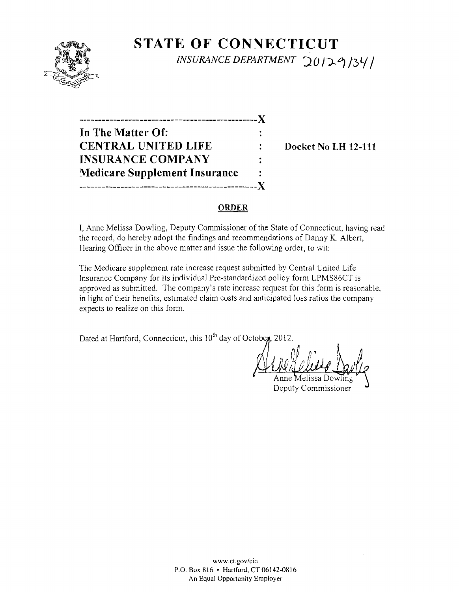

# **STATE OF CONNECTICUT** *INSURANCE DEPARTMENT* 20129/34/

-----------------------------------------------)( **In** The Matter Of: CENTRAL UNITED LIFE : Docket No LH 12-111 INSURANCE COMPANY Medicare Supplement Insurance -----------------------------------------------)(

#### ORDER

I, Anne Melissa Dowling, Deputy Commissioner of the State of Connecticut, having read the record, do hereby adopt the findings and recommendations of Danny K. Albert, Hearing Officer in the above matter and issue the following order, to wit:

The Medicare supplement rate increase request submitted by Central United Life Insurance Company for its individual Pre-standardized policy form LPMS86CT is approved as submitted. The company's rate increase request for this form is reasonable, in light of their benefits, estimated claim costs and anticipated loss ratios the company expects to realize on this form.

Dated at Hartford, Connecticut, this 10<sup>th</sup> day of Octobe**y**, 2012.

~{1 <sup>j</sup>*Hr:V.'v t* M' <sup>I</sup> Anne Melissa D

Deputy Commissioner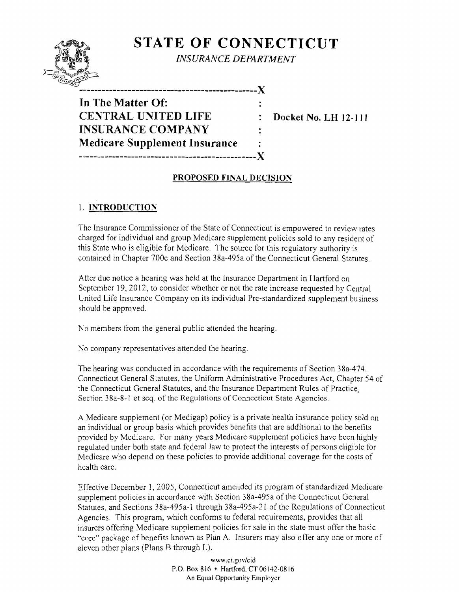# $Q = \sqrt{q}$ **I',ltAIIlJrlt t;,\l**

## **STATE OF CONNECTICUT**

*INSURANCE DEPARTMENT* 

" **-----------------------------------------------)( In The Matter Of: CENTRAL UNITED LIFE : Docket No. LH 12-111 INSURANCE COMPANY Medicare Supplement Insurance -----------------------------------------------)(** 

### **PROPOSED FINAL DECISION**

## 1. **INTRODUCTION**

The Insurance Commissioner of the State of Connecticut is empowered to review rates charged for individual and group Medicare supplement policies sold to any resident of this State who is eligible for Medicare. The source for this regulatory authority is contained in Chapter 700c and Section 38a-495a of the Connecticut General Statutes,

After due notice a hearing was held at the Insurance Department in Hartford on September 19, 2012, to consider whether or not the rate increase requested by Central United Life Insurance Company on its individual Pre-standardized supplement business should be approved.

No members from the general public attended the hearing.

No company representatives attended the hearing.

The hearing was conducted in accordance with the requirements of Section 38a-474. Connecticut General Statutes, the Uniform Administrative Procedures Act, Chapter 54 of the Connecticut General Statutes, and the Insurance Department Rules of Practice, Section 38a-8-1 et seq. of the Regulations of Connecticut State Agencies.

A Medicare supplement (or Medigap) policy is a private health insurance policy sold on an individual or group basis which provides benefits that are additional to the benefits provided by Medicare. For many years Medicare supplement policies have been highly regulated under both state and federal law to protect the interests of persons eligible for Medicare who depend on these policies to provide additional coverage for the costs of health care.

Effective December 1, *2005,* Connecticut amended its program of standardized Medicare supplement policies in accordance with Section 38a-49Sa of the Connecticut General Statutes, and Sections 38a-495a-l through 38a-495a-2l of the Regulations of Connecticut Agencies. This program, which conforms to federal requirements, provides that all insurers offering Medicare supplement policies for sale in the state must offer the basic "core" package of benefits known as Plan A. Insurers may also offer anyone or more of eleven other plans (Plans B through L).

> www.ct.gov/cid P.O. Box 816 • Hartford,CT06L42-0816 An Equal Opportunity Employer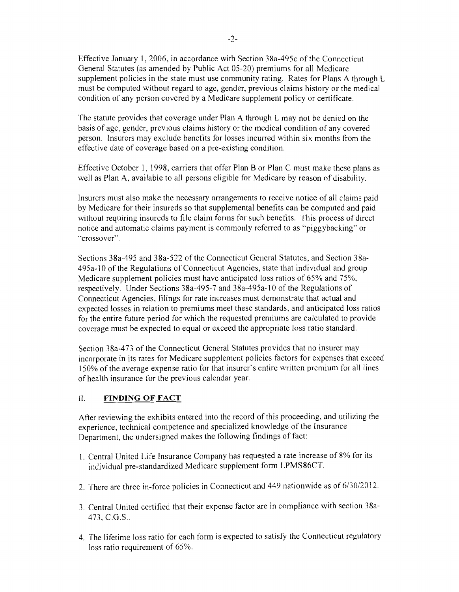Effective January 1,2006, in accordance with Section 38a-495c of the Connecticut General Statutes (as amended by Public Act 05-20) premiums for all Medicare supplement policies in the state must use community rating. Rates for Plans A through L must be computed without regard to age, gender, previous claims history or the medical condition of any person covered by a Medicare supplement policy or certificate.

The statute provides that coverage under Plan A through L may not be denied on the basis of age, gender, previous claims history or the medical condition of any covered person. Insurers may exclude benefits for losses incurred within six months from the effective date of coverage based on a pre-existing condition.

Effective October I, 1998, carriers that offer Plan B or Plan C must make thcse plans as well as Plan A, available to all persons eligible for Medicare by reason of disability.

Insurers must also make the necessary arrangements to receive notice of all claims paid by Medicare for their insureds so that supplemental benefits can be computed and paid without requiring insureds to file claim forms for such benefits. This process of direct notice and automatic claims payment is commonly referred to as "piggybacking" or "crossover".

Sections 38a-495 and 38a-522 of the Connecticut General Statutes, and Section 38a-495a-IO of the Regulations of Connecticut Agencies, state that individual and group Medicare supplement policies must have anticipated loss ratios of 65% and 75%, respectively. Under Sections 38a-495-7 and 38a-495a-l 0 of the Regulations of Connecticut Agencies, filings for rate increases must demonstrate that actual and expected losses in relation to premiums meet these standards, and anticipated loss ratios for the entire future period for which the requested premiums are calculated to provide coverage must be expected to equal or exceed the appropriate loss ratio standard.

Section 38a-473 of the Connecticut General Statutes provides that no insurer may incorporate in its rates for Medicare supplement policies factors for expenses that exceed 150% of the average expense ratio for that insurer's entire written premium for all tines of health insurance for the previous calendar year.

#### II. **FINDING OF FACT**

After reviewing the exhibits entered into the record of this proceeding, and utilizing the experience, technical competence and specialized knowledge of the Insurance Department, the undersigned makes the following findings of fact:

- I. Central United Life Insurance Company has requested a rate increase of 8% for its individual pre-standardized Medicare supplement form LPMS86CT.
- 2. There are three in-force policies in Connecticut and 449 nationwide as of 6/30/2012.
- 3. Central United certified that their expense factor are in compliance with section 38a-473, c.G.s..
- 4. The lifetime loss ratio for each form is expected to satisfy the Connecticut regulatory loss ratio requirement of 65%.